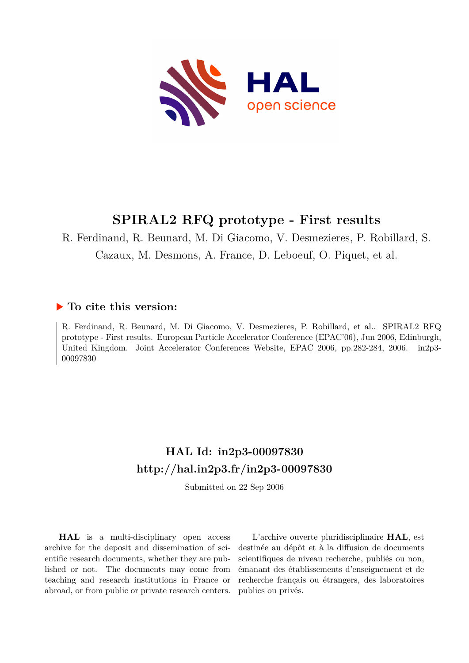

# **SPIRAL2 RFQ prototype - First results**

R. Ferdinand, R. Beunard, M. Di Giacomo, V. Desmezieres, P. Robillard, S.

Cazaux, M. Desmons, A. France, D. Leboeuf, O. Piquet, et al.

# **To cite this version:**

R. Ferdinand, R. Beunard, M. Di Giacomo, V. Desmezieres, P. Robillard, et al.. SPIRAL2 RFQ prototype - First results. European Particle Accelerator Conference (EPAC'06), Jun 2006, Edinburgh, United Kingdom. Joint Accelerator Conferences Website, EPAC 2006, pp.282-284, 2006. in2p3-00097830

# **HAL Id: in2p3-00097830 <http://hal.in2p3.fr/in2p3-00097830>**

Submitted on 22 Sep 2006

**HAL** is a multi-disciplinary open access archive for the deposit and dissemination of scientific research documents, whether they are published or not. The documents may come from teaching and research institutions in France or abroad, or from public or private research centers.

L'archive ouverte pluridisciplinaire **HAL**, est destinée au dépôt et à la diffusion de documents scientifiques de niveau recherche, publiés ou non, émanant des établissements d'enseignement et de recherche français ou étrangers, des laboratoires publics ou privés.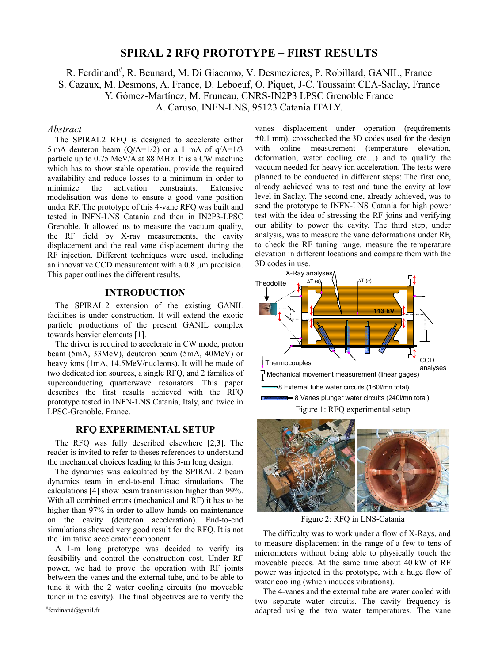# **SPIRAL 2 RFQ PROTOTYPE – FIRST RESULTS**

R. Ferdinand<sup>#</sup>, R. Beunard, M. Di Giacomo, V. Desmezieres, P. Robillard, GANIL, France S. Cazaux, M. Desmons, A. France, D. Leboeuf, O. Piquet, J-C. Toussaint CEA-Saclay, France Y. Gómez-Martínez, M. Fruneau, CNRS-IN2P3 LPSC Grenoble France A. Caruso, INFN-LNS, 95123 Catania ITALY.

# *Abstract*

The SPIRAL2 RFQ is designed to accelerate either 5 mA deuteron beam  $(Q/A=1/2)$  or a 1 mA of  $q/A=1/3$ particle up to 0.75 MeV/A at 88 MHz. It is a CW machine which has to show stable operation, provide the required availability and reduce losses to a minimum in order to minimize the activation constraints. Extensive modelisation was done to ensure a good vane position under RF. The prototype of this 4-vane RFQ was built and tested in INFN-LNS Catania and then in IN2P3-LPSC Grenoble. It allowed us to measure the vacuum quality, the RF field by X-ray measurements, the cavity displacement and the real vane displacement during the RF injection. Different techniques were used, including an innovative CCD measurement with a 0.8 µm precision. This paper outlines the different results.

## **INTRODUCTION**

The SPIRAL 2 extension of the existing GANIL facilities is under construction. It will extend the exotic particle productions of the present GANIL complex towards heavier elements [1].

The driver is required to accelerate in CW mode, proton beam (5mA, 33MeV), deuteron beam (5mA, 40MeV) or heavy ions (1mA, 14.5MeV/nucleons). It will be made of two dedicated ion sources, a single RFQ, and 2 families of superconducting quarterwave resonators. This paper describes the first results achieved with the RFQ prototype tested in INFN-LNS Catania, Italy, and twice in LPSC-Grenoble, France.

# **RFQ EXPERIMENTAL SETUP**

The RFQ was fully described elsewhere [2,3]. The reader is invited to refer to theses references to understand the mechanical choices leading to this 5-m long design.

The dynamics was calculated by the SPIRAL 2 beam dynamics team in end-to-end Linac simulations. The calculations [4] show beam transmission higher than 99%. With all combined errors (mechanical and RF) it has to be higher than 97% in order to allow hands-on maintenance on the cavity (deuteron acceleration). End-to-end simulations showed very good result for the RFQ. It is not the limitative accelerator component.

A 1-m long prototype was decided to verify its feasibility and control the construction cost. Under RF power, we had to prove the operation with RF joints between the vanes and the external tube, and to be able to tune it with the 2 water cooling circuits (no moveable tuner in the cavity). The final objectives are to verify the

 $*$ ferdinand@ganil.fr

vanes displacement under operation (requirements ±0.1 mm), crosschecked the 3D codes used for the design with online measurement (temperature elevation, deformation, water cooling etc…) and to qualify the vacuum needed for heavy ion acceleration. The tests were planned to be conducted in different steps: The first one, already achieved was to test and tune the cavity at low level in Saclay. The second one, already achieved, was to send the prototype to INFN-LNS Catania for high power test with the idea of stressing the RF joins and verifying our ability to power the cavity. The third step, under analysis, was to measure the vane deformations under RF, to check the RF tuning range, measure the temperature elevation in different locations and compare them with the 3D codes in use.





Figure 2: RFQ in LNS-Catania

The difficulty was to work under a flow of X-Rays, and to measure displacement in the range of a few to tens of micrometers without being able to physically touch the moveable pieces. At the same time about 40 kW of RF power was injected in the prototype, with a huge flow of water cooling (which induces vibrations).

The 4-vanes and the external tube are water cooled with two separate water circuits. The cavity frequency is adapted using the two water temperatures. The vane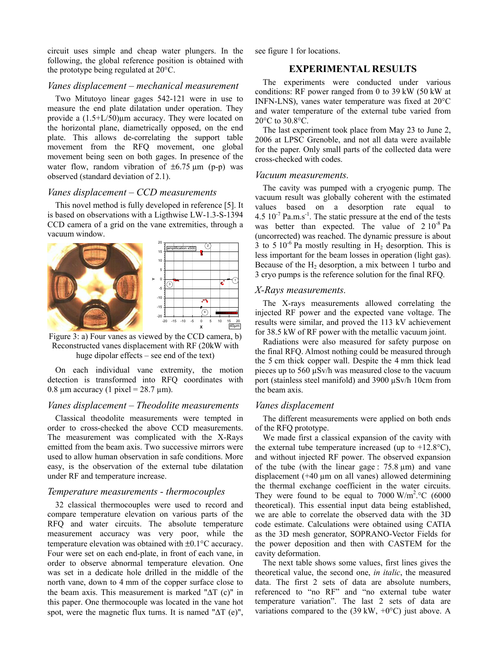circuit uses simple and cheap water plungers. In the following, the global reference position is obtained with the prototype being regulated at 20°C.

#### *Vanes displacement – mechanical measurement*

Two Mitutoyo linear gages 542-121 were in use to measure the end plate dilatation under operation. They provide a (1.5+L/50)µm accuracy. They were located on the horizontal plane, diametrically opposed, on the end plate. This allows de-correlating the support table movement from the RFQ movement, one global movement being seen on both gages. In presence of the water flow, random vibration of  $\pm 6.75 \text{ µm}$  (p-p) was observed (standard deviation of 2.1).

#### *Vanes displacement – CCD measurements*

This novel method is fully developed in reference [5]. It is based on observations with a Ligthwise LW-1.3-S-1394 CCD camera of a grid on the vane extremities, through a vacuum window.



Figure 3: a) Four vanes as viewed by the CCD camera, b) Reconstructed vanes displacement with RF (20kW with huge dipolar effects – see end of the text)

On each individual vane extremity, the motion detection is transformed into RFQ coordinates with 0.8  $\mu$ m accuracy (1 pixel = 28.7  $\mu$ m).

# *Vanes displacement – Theodolite measurements*

Classical theodolite measurements were tempted in order to cross-checked the above CCD measurements. The measurement was complicated with the X-Rays emitted from the beam axis. Two successive mirrors were used to allow human observation in safe conditions. More easy, is the observation of the external tube dilatation under RF and temperature increase.

## *Temperature measurements - thermocouples*

32 classical thermocouples were used to record and compare temperature elevation on various parts of the RFQ and water circuits. The absolute temperature measurement accuracy was very poor, while the temperature elevation was obtained with ±0.1°C accuracy. Four were set on each end-plate, in front of each vane, in order to observe abnormal temperature elevation. One was set in a dedicate hole drilled in the middle of the north vane, down to 4 mm of the copper surface close to the beam axis. This measurement is marked "ΔT (c)" in this paper. One thermocouple was located in the vane hot spot, were the magnetic flux turns. It is named " $\Delta T$  (e)", see figure 1 for locations.

### **EXPERIMENTAL RESULTS**

The experiments were conducted under various conditions: RF power ranged from 0 to 39 kW (50 kW at INFN-LNS), vanes water temperature was fixed at 20°C and water temperature of the external tube varied from 20°C to 30.8°C.

The last experiment took place from May 23 to June 2, 2006 at LPSC Grenoble, and not all data were available for the paper. Only small parts of the collected data were cross-checked with codes.

#### *Vacuum measurements.*

The cavity was pumped with a cryogenic pump. The vacuum result was globally coherent with the estimated values based on a desorption rate equal to 4.5  $10^{-7}$  Pa.m.s<sup>-1</sup>. The static pressure at the end of the tests was better than expected. The value of  $2.10^{-8}$  Pa (uncorrected) was reached. The dynamic pressure is about 3 to 5 10<sup>-6</sup> Pa mostly resulting in  $H_2$  desorption. This is less important for the beam losses in operation (light gas). Because of the  $H_2$  desorption, a mix between 1 turbo and 3 cryo pumps is the reference solution for the final RFQ.

#### *X-Rays measurements.*

1

40µm

The X-rays measurements allowed correlating the injected RF power and the expected vane voltage. The results were similar, and proved the 113 kV achievement for 38.5 kW of RF power with the metallic vacuum joint.

Radiations were also measured for safety purpose on the final RFQ. Almost nothing could be measured through the 5 cm thick copper wall. Despite the 4 mm thick lead pieces up to 560 µSv/h was measured close to the vacuum port (stainless steel manifold) and 3900 µSv/h 10cm from the beam axis.

#### *Vanes displacement*

The different measurements were applied on both ends of the RFQ prototype.

We made first a classical expansion of the cavity with the external tube temperature increased (up to  $+12.8$ °C), and without injected RF power. The observed expansion of the tube (with the linear gage :  $75.8 \mu m$ ) and vane displacement  $(+40 \mu m)$  on all vanes) allowed determining the thermal exchange coefficient in the water circuits. They were found to be equal to  $7000 \text{ W/m}^2$ .  $\degree$ C (6000 theoretical). This essential input data being established, we are able to correlate the observed data with the 3D code estimate. Calculations were obtained using CATIA as the 3D mesh generator, SOPRANO-Vector Fields for the power deposition and then with CASTEM for the cavity deformation.

The next table shows some values, first lines gives the theoretical value, the second one, *in italic*, the measured data. The first 2 sets of data are absolute numbers, referenced to "no RF" and "no external tube water temperature variation". The last 2 sets of data are variations compared to the  $(39 \text{ kW}, +0\degree \text{C})$  just above. A